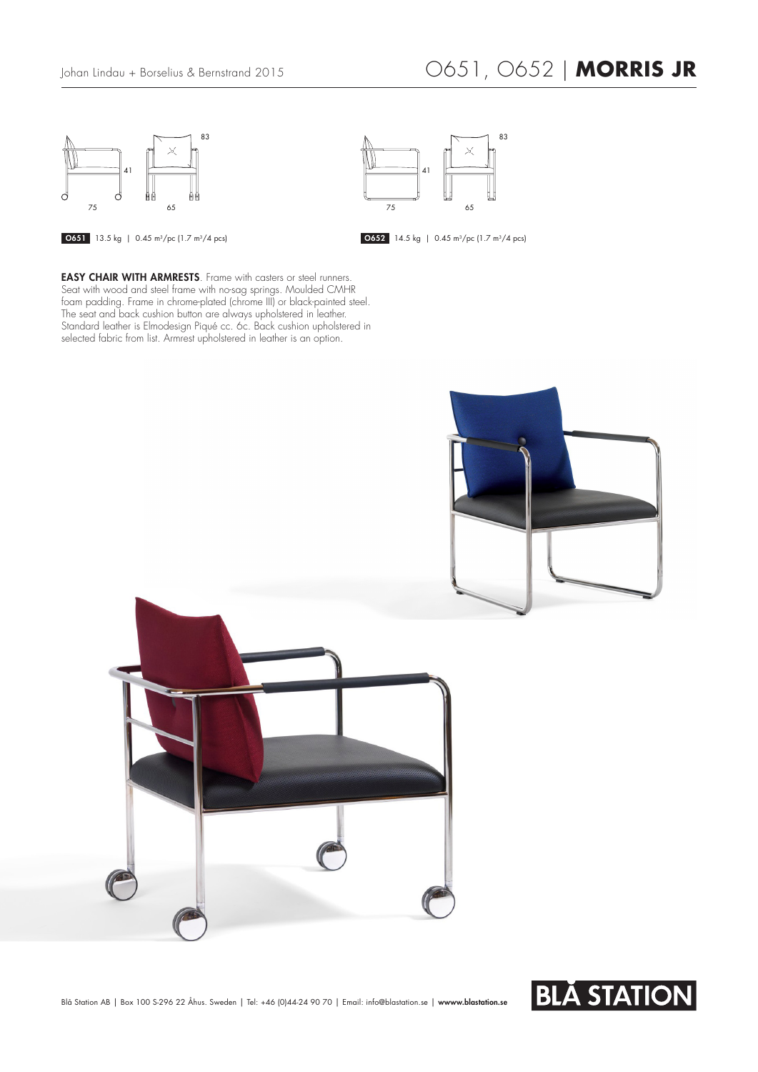

## Johan Lindau + Borselius & Bernstrand 2015 O651, O652 | **MORRIS JR**

 $83$ 

41

 $75$ 



**13.5 kg** | 0.45 m<sup>3</sup>/pc (1.7 m<sup>3</sup>/4 pcs) 14.5 kg | 0.45 m<sup>3</sup>/pc (1.7 m<sup>3</sup>/4 pcs)

**EASY CHAIR WITH ARMRESTS**. Frame with casters or steel runners. Seat with wood and steel frame with no-sag springs. Moulded CMHR foam padding. Frame in chrome-plated (chrome III) or black-painted steel. The seat and back cushion button are always upholstered in leather. Standard leather is Elmodesign Piqué cc. 6c. Back cushion upholstered in selected fabric from list. Armrest upholstered in leather is an option.



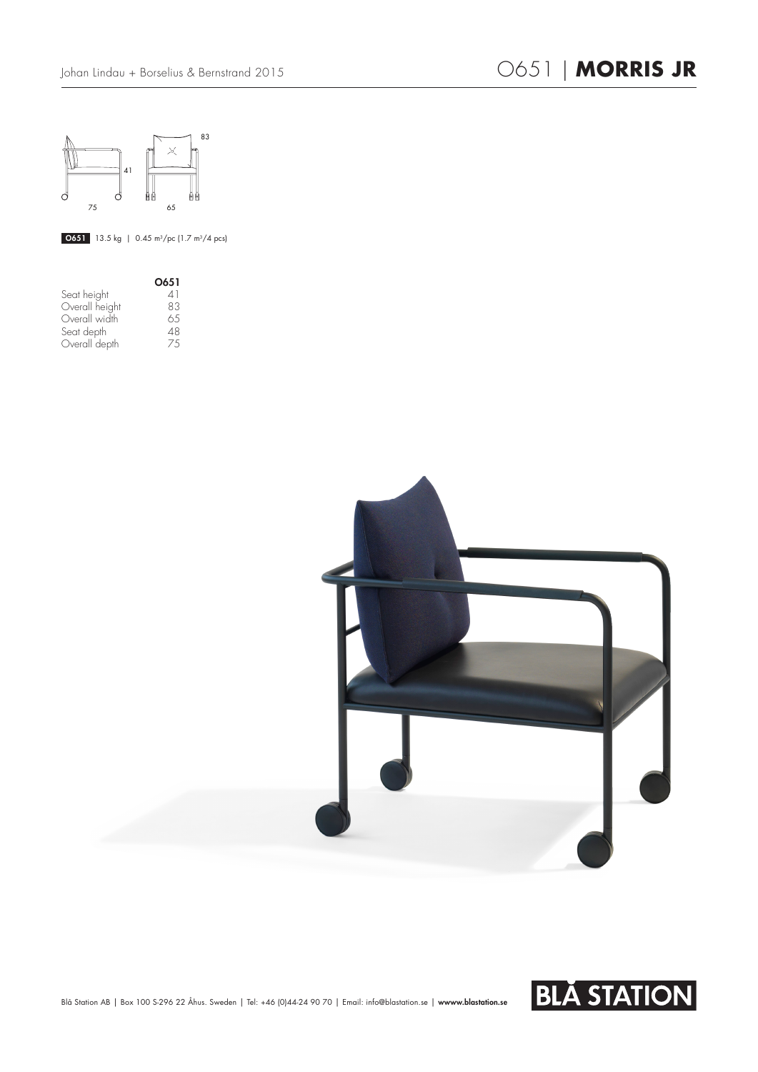

**0651** 13.5 kg | 0.45 m<sup>3</sup>/pc (1.7 m<sup>3</sup>/4 pcs)

|                | O651                     |
|----------------|--------------------------|
| Seat height    | 41                       |
| Overall height | 83                       |
| Overall width  | 65                       |
| Seat depth     | 48                       |
| Overall depth  | $\overline{\phantom{a}}$ |